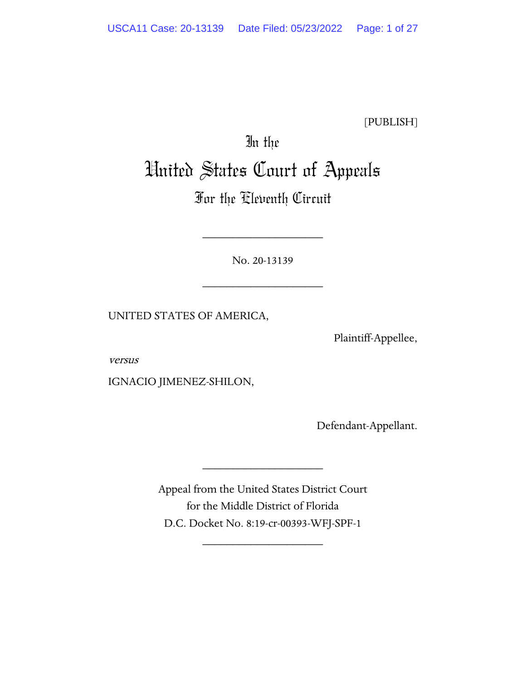[PUBLISH]

# In the United States Court of Appeals

# For the Eleventh Circuit

No. 20-13139

\_\_\_\_\_\_\_\_\_\_\_\_\_\_\_\_\_\_\_\_

\_\_\_\_\_\_\_\_\_\_\_\_\_\_\_\_\_\_\_\_

UNITED STATES OF AMERICA,

Plaintiff-Appellee,

versus

IGNACIO JIMENEZ-SHILON,

Defendant-Appellant.

Appeal from the United States District Court for the Middle District of Florida D.C. Docket No. 8:19-cr-00393-WFJ-SPF-1

\_\_\_\_\_\_\_\_\_\_\_\_\_\_\_\_\_\_\_\_

\_\_\_\_\_\_\_\_\_\_\_\_\_\_\_\_\_\_\_\_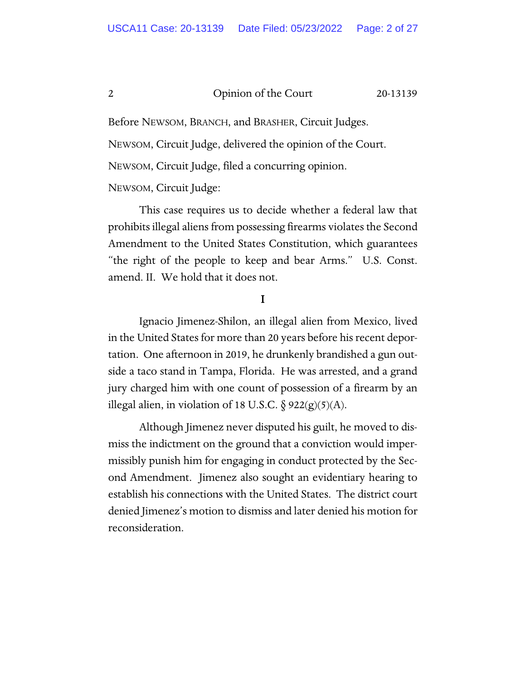Before NEWSOM, BRANCH, and BRASHER, Circuit Judges.

NEWSOM, Circuit Judge, delivered the opinion of the Court.

NEWSOM, Circuit Judge, filed a concurring opinion.

NEWSOM, Circuit Judge:

This case requires us to decide whether a federal law that prohibits illegal aliens from possessing firearms violates the Second Amendment to the United States Constitution, which guarantees "the right of the people to keep and bear Arms." U.S. Const. amend. II. We hold that it does not.

# I

Ignacio Jimenez-Shilon, an illegal alien from Mexico, lived in the United States for more than 20 years before his recent deportation. One afternoon in 2019, he drunkenly brandished a gun outside a taco stand in Tampa, Florida. He was arrested, and a grand jury charged him with one count of possession of a firearm by an illegal alien, in violation of 18 U.S.C.  $\S$  922(g)(5)(A).

Although Jimenez never disputed his guilt, he moved to dismiss the indictment on the ground that a conviction would impermissibly punish him for engaging in conduct protected by the Second Amendment. Jimenez also sought an evidentiary hearing to establish his connections with the United States. The district court denied Jimenez's motion to dismiss and later denied his motion for reconsideration.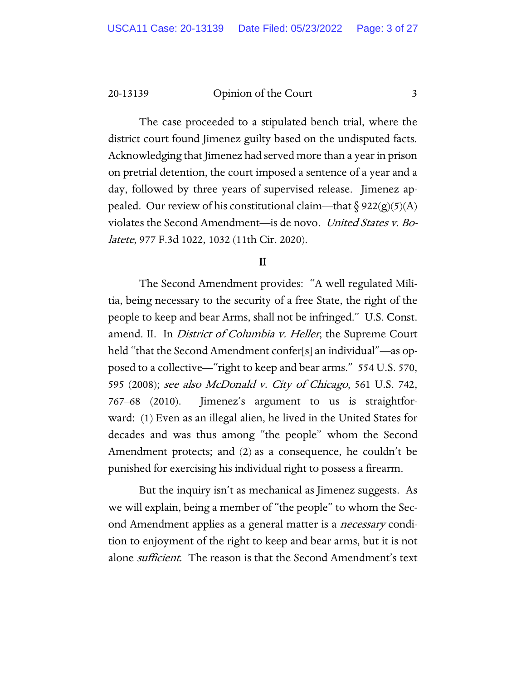The case proceeded to a stipulated bench trial, where the district court found Jimenez guilty based on the undisputed facts. Acknowledging that Jimenez had served more than a year in prison on pretrial detention, the court imposed a sentence of a year and a day, followed by three years of supervised release. Jimenez appealed. Our review of his constitutional claim—that  $\delta$  922(g)(5)(A) violates the Second Amendment—is de novo. United States v. Bolatete, 977 F.3d 1022, 1032 (11th Cir. 2020).

# II

The Second Amendment provides: "A well regulated Militia, being necessary to the security of a free State, the right of the people to keep and bear Arms, shall not be infringed." U.S. Const. amend. II. In District of Columbia v. Heller, the Supreme Court held "that the Second Amendment confer[s] an individual"—as opposed to a collective—"right to keep and bear arms." 554 U.S. 570, 595 (2008); see also McDonald v. City of Chicago, 561 U.S. 742, 767–68 (2010). Jimenez's argument to us is straightforward: (1) Even as an illegal alien, he lived in the United States for decades and was thus among "the people" whom the Second Amendment protects; and (2) as a consequence, he couldn't be punished for exercising his individual right to possess a firearm.

But the inquiry isn't as mechanical as Jimenez suggests. As we will explain, being a member of "the people" to whom the Second Amendment applies as a general matter is a *necessary* condition to enjoyment of the right to keep and bear arms, but it is not alone *sufficient*. The reason is that the Second Amendment's text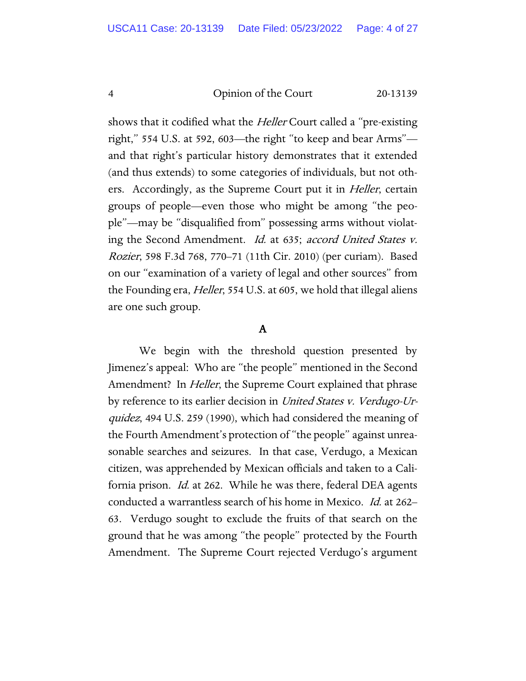shows that it codified what the *Heller* Court called a "pre-existing" right," 554 U.S. at 592, 603—the right "to keep and bear Arms" and that right's particular history demonstrates that it extended (and thus extends) to some categories of individuals, but not others. Accordingly, as the Supreme Court put it in *Heller*, certain groups of people—even those who might be among "the people"—may be "disqualified from" possessing arms without violating the Second Amendment. Id. at 635; accord United States v. Rozier, 598 F.3d 768, 770–71 (11th Cir. 2010) (per curiam). Based on our "examination of a variety of legal and other sources" from the Founding era, *Heller*, 554 U.S. at 605, we hold that illegal aliens are one such group.

# A

We begin with the threshold question presented by Jimenez's appeal: Who are "the people" mentioned in the Second Amendment? In *Heller*, the Supreme Court explained that phrase by reference to its earlier decision in United States v. Verdugo-Urquidez, 494 U.S. 259 (1990), which had considered the meaning of the Fourth Amendment's protection of "the people" against unreasonable searches and seizures. In that case, Verdugo, a Mexican citizen, was apprehended by Mexican officials and taken to a California prison. *Id.* at 262. While he was there, federal DEA agents conducted a warrantless search of his home in Mexico. Id. at 262– 63. Verdugo sought to exclude the fruits of that search on the ground that he was among "the people" protected by the Fourth Amendment. The Supreme Court rejected Verdugo's argument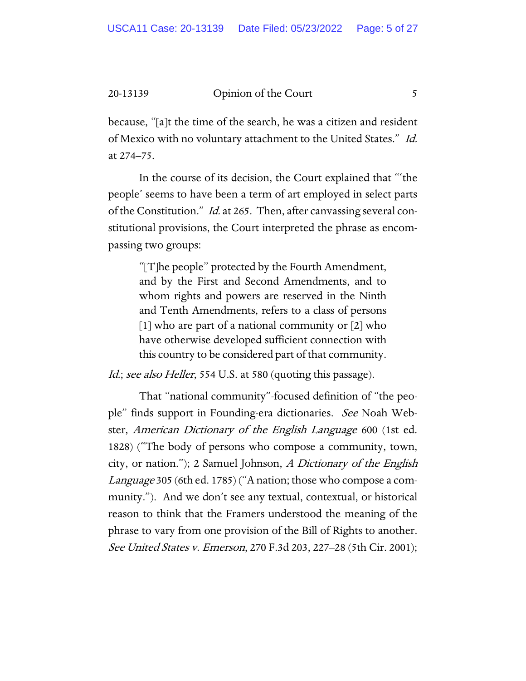because, "[a]t the time of the search, he was a citizen and resident of Mexico with no voluntary attachment to the United States." Id. at 274–75.

In the course of its decision, the Court explained that "'the people' seems to have been a term of art employed in select parts of the Constitution." *Id.* at 265. Then, after canvassing several constitutional provisions, the Court interpreted the phrase as encompassing two groups:

"[T]he people" protected by the Fourth Amendment, and by the First and Second Amendments, and to whom rights and powers are reserved in the Ninth and Tenth Amendments, refers to a class of persons [1] who are part of a national community or [2] who have otherwise developed sufficient connection with this country to be considered part of that community.

Id.; see also Heller, 554 U.S. at 580 (quoting this passage).

That "national community"-focused definition of "the people" finds support in Founding-era dictionaries. See Noah Webster, American Dictionary of the English Language 600 (1st ed. 1828) ("The body of persons who compose a community, town, city, or nation."); 2 Samuel Johnson, A Dictionary of the English Language 305 (6th ed. 1785) ("A nation; those who compose a community."). And we don't see any textual, contextual, or historical reason to think that the Framers understood the meaning of the phrase to vary from one provision of the Bill of Rights to another. See United States v. Emerson, 270 F.3d 203, 227–28 (5th Cir. 2001);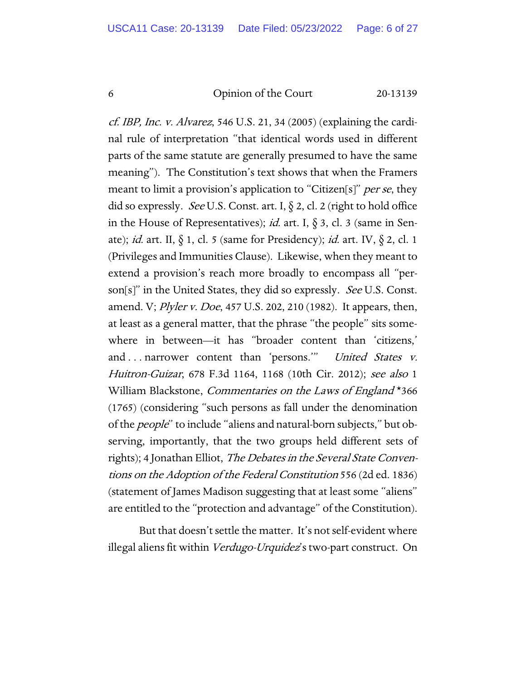cf. IBP, Inc. v. Alvarez, 546 U.S. 21, 34 (2005) (explaining the cardinal rule of interpretation "that identical words used in different parts of the same statute are generally presumed to have the same meaning"). The Constitution's text shows that when the Framers meant to limit a provision's application to "Citizen[s]" per se, they did so expressly. See U.S. Const. art. I,  $\S$  2, cl. 2 (right to hold office in the House of Representatives); *id.* art. I,  $\delta$  3, cl. 3 (same in Senate); id. art. II,  $\S$  1, cl. 5 (same for Presidency); id. art. IV,  $\S$  2, cl. 1 (Privileges and Immunities Clause). Likewise, when they meant to extend a provision's reach more broadly to encompass all "person[s]" in the United States, they did so expressly. See U.S. Const. amend. V; Plyler v. Doe, 457 U.S. 202, 210 (1982). It appears, then, at least as a general matter, that the phrase "the people" sits somewhere in between—it has "broader content than 'citizens,' and ... narrower content than 'persons." United States v. Huitron-Guizar, 678 F.3d 1164, 1168 (10th Cir. 2012); see also 1 William Blackstone, *Commentaries on the Laws of England* \*366 (1765) (considering "such persons as fall under the denomination of the *people*" to include "aliens and natural-born subjects," but observing, importantly, that the two groups held different sets of rights); 4 Jonathan Elliot, The Debates in the Several State Conventions on the Adoption of the Federal Constitution 556 (2d ed. 1836) (statement of James Madison suggesting that at least some "aliens" are entitled to the "protection and advantage" of the Constitution).

But that doesn't settle the matter. It's not self-evident where illegal aliens fit within Verdugo-Urquidez's two-part construct. On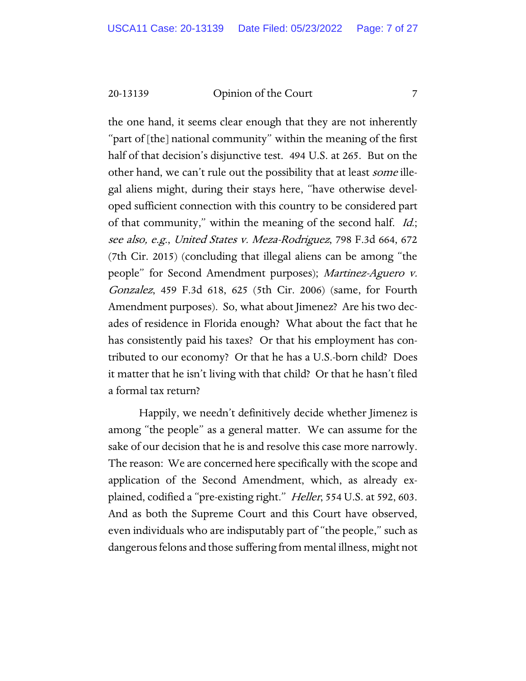the one hand, it seems clear enough that they are not inherently "part of [the] national community" within the meaning of the first half of that decision's disjunctive test. 494 U.S. at 265. But on the other hand, we can't rule out the possibility that at least *some* illegal aliens might, during their stays here, "have otherwise developed sufficient connection with this country to be considered part of that community," within the meaning of the second half. *Id.*; see also, e.g., United States v. Meza-Rodriguez, 798 F.3d 664, 672 (7th Cir. 2015) (concluding that illegal aliens can be among "the people" for Second Amendment purposes); Martinez-Aguero v. Gonzalez, 459 F.3d 618, 625 (5th Cir. 2006) (same, for Fourth Amendment purposes). So, what about Jimenez? Are his two decades of residence in Florida enough? What about the fact that he has consistently paid his taxes? Or that his employment has contributed to our economy? Or that he has a U.S.-born child? Does it matter that he isn't living with that child? Or that he hasn't filed a formal tax return?

Happily, we needn't definitively decide whether Jimenez is among "the people" as a general matter. We can assume for the sake of our decision that he is and resolve this case more narrowly. The reason: We are concerned here specifically with the scope and application of the Second Amendment, which, as already explained, codified a "pre-existing right." Heller, 554 U.S. at 592, 603. And as both the Supreme Court and this Court have observed, even individuals who are indisputably part of "the people," such as dangerous felons and those suffering from mental illness, might not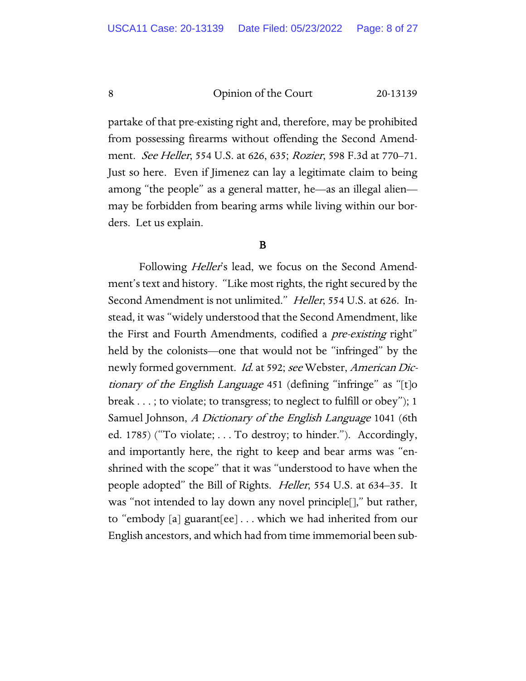partake of that pre-existing right and, therefore, may be prohibited from possessing firearms without offending the Second Amendment. See Heller, 554 U.S. at 626, 635; Rozier, 598 F.3d at 770–71. Just so here. Even if Jimenez can lay a legitimate claim to being among "the people" as a general matter, he—as an illegal alien may be forbidden from bearing arms while living within our borders. Let us explain.

# B

Following *Heller's* lead, we focus on the Second Amendment's text and history. "Like most rights, the right secured by the Second Amendment is not unlimited." Heller, 554 U.S. at 626. Instead, it was "widely understood that the Second Amendment, like the First and Fourth Amendments, codified a *pre-existing* right" held by the colonists—one that would not be "infringed" by the newly formed government. *Id.* at 592; see Webster, American Dictionary of the English Language 451 (defining "infringe" as "[t]o break . . . ; to violate; to transgress; to neglect to fulfill or obey"); 1 Samuel Johnson, A Dictionary of the English Language 1041 (6th ed. 1785) ("To violate; . . . To destroy; to hinder."). Accordingly, and importantly here, the right to keep and bear arms was "enshrined with the scope" that it was "understood to have when the people adopted" the Bill of Rights. *Heller*, 554 U.S. at 634–35. It was "not intended to lay down any novel principle[]," but rather, to "embody [a] guarant[ee] . . . which we had inherited from our English ancestors, and which had from time immemorial been sub-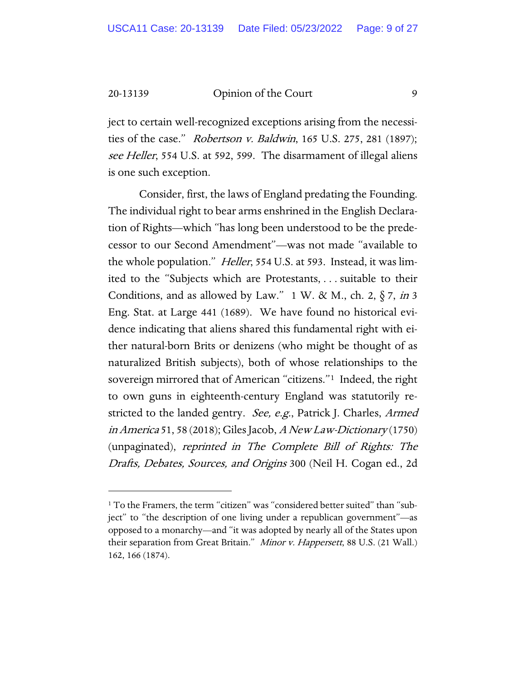ject to certain well-recognized exceptions arising from the necessities of the case." Robertson v. Baldwin, 165 U.S. 275, 281 (1897); see Heller, 554 U.S. at 592, 599. The disarmament of illegal aliens is one such exception.

Consider, first, the laws of England predating the Founding. The individual right to bear arms enshrined in the English Declaration of Rights—which "has long been understood to be the predecessor to our Second Amendment"—was not made "available to the whole population." *Heller*, 554 U.S. at 593. Instead, it was limited to the "Subjects which are Protestants, . . . suitable to their Conditions, and as allowed by Law." 1 W. & M., ch. 2,  $\S 7$ , in 3 Eng. Stat. at Large 441 (1689). We have found no historical evidence indicating that aliens shared this fundamental right with either natural-born Brits or denizens (who might be thought of as naturalized British subjects), both of whose relationships to the sovereign mirrored that of American "citizens."[1](#page-8-0) Indeed, the right to own guns in eighteenth-century England was statutorily restricted to the landed gentry. See, e.g., Patrick J. Charles, Armed in America 51, 58 (2018); Giles Jacob, A New Law-Dictionary (1750) (unpaginated), reprinted in The Complete Bill of Rights: The Drafts, Debates, Sources, and Origins 300 (Neil H. Cogan ed., 2d

<span id="page-8-0"></span><sup>&</sup>lt;sup>1</sup> To the Framers, the term "citizen" was "considered better suited" than "subject" to "the description of one living under a republican government"—as opposed to a monarchy—and "it was adopted by nearly all of the States upon their separation from Great Britain." Minor v. Happersett, 88 U.S. (21 Wall.) 162, 166 (1874).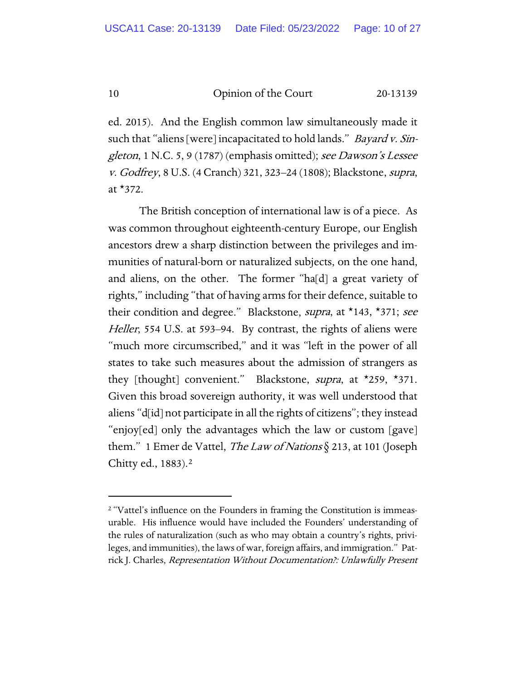ed. 2015). And the English common law simultaneously made it such that "aliens [were] incapacitated to hold lands." *Bayard v. Sin*gleton, 1 N.C. 5, 9 (1787) (emphasis omitted); see Dawson's Lessee v. Godfrey, 8 U.S. (4 Cranch) 321, 323–24 (1808); Blackstone, supra, at \*372.

The British conception of international law is of a piece. As was common throughout eighteenth-century Europe, our English ancestors drew a sharp distinction between the privileges and immunities of natural-born or naturalized subjects, on the one hand, and aliens, on the other. The former "ha[d] a great variety of rights," including "that of having arms for their defence, suitable to their condition and degree." Blackstone, *supra*, at \*143, \*371; see Heller, 554 U.S. at 593–94. By contrast, the rights of aliens were "much more circumscribed," and it was "left in the power of all states to take such measures about the admission of strangers as they [thought] convenient." Blackstone, *supra*, at \*259, \*371. Given this broad sovereign authority, it was well understood that aliens "d[id] not participate in all the rights of citizens"; they instead "enjoy[ed] only the advantages which the law or custom [gave] them." 1 Emer de Vattel, *The Law of Nations*  $\S$  213, at 101 (Joseph Chitty ed., 1883).[2](#page-9-0)

<span id="page-9-0"></span><sup>&</sup>lt;sup>2</sup> "Vattel's influence on the Founders in framing the Constitution is immeasurable. His influence would have included the Founders' understanding of the rules of naturalization (such as who may obtain a country's rights, privileges, and immunities), the laws of war, foreign affairs, and immigration." Patrick J. Charles, Representation Without Documentation?: Unlawfully Present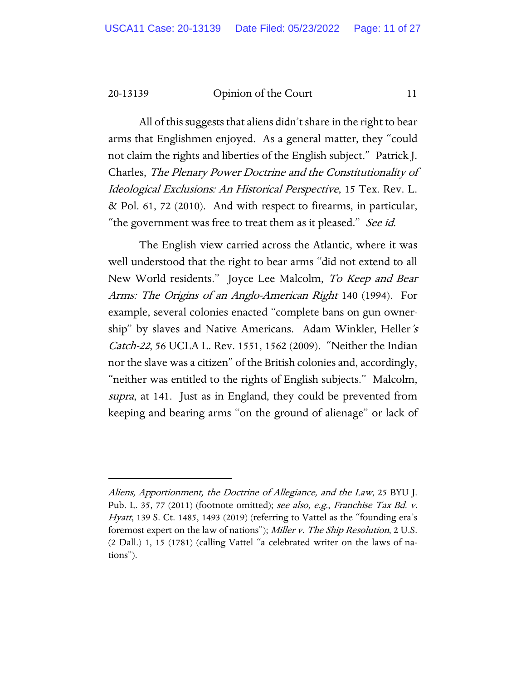All of this suggests that aliens didn't share in the right to bear arms that Englishmen enjoyed. As a general matter, they "could not claim the rights and liberties of the English subject." Patrick J. Charles, The Plenary Power Doctrine and the Constitutionality of Ideological Exclusions: An Historical Perspective, 15 Tex. Rev. L. & Pol. 61, 72 (2010). And with respect to firearms, in particular, "the government was free to treat them as it pleased." See id.

The English view carried across the Atlantic, where it was well understood that the right to bear arms "did not extend to all New World residents." Joyce Lee Malcolm, To Keep and Bear Arms: The Origins of an Anglo-American Right 140 (1994). For example, several colonies enacted "complete bans on gun ownership" by slaves and Native Americans. Adam Winkler, Heller's Catch-22, 56 UCLA L. Rev. 1551, 1562 (2009). "Neither the Indian nor the slave was a citizen" of the British colonies and, accordingly, "neither was entitled to the rights of English subjects." Malcolm, supra, at 141. Just as in England, they could be prevented from keeping and bearing arms "on the ground of alienage" or lack of

Aliens, Apportionment, the Doctrine of Allegiance, and the Law, 25 BYU J. Pub. L. 35, 77 (2011) (footnote omitted); see also, e.g., Franchise Tax Bd. v. Hyatt, 139 S. Ct. 1485, 1493 (2019) (referring to Vattel as the "founding era's foremost expert on the law of nations"); Miller v. The Ship Resolution, 2 U.S. (2 Dall.) 1, 15 (1781) (calling Vattel "a celebrated writer on the laws of nations").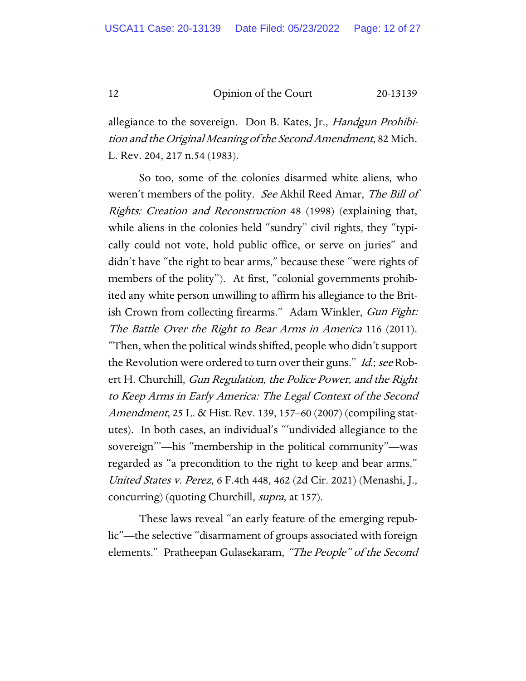allegiance to the sovereign. Don B. Kates, Jr., *Handgun Prohibi*tion and the Original Meaning of the Second Amendment, 82 Mich. L. Rev. 204, 217 n.54 (1983).

So too, some of the colonies disarmed white aliens, who weren't members of the polity. See Akhil Reed Amar, The Bill of Rights: Creation and Reconstruction 48 (1998) (explaining that, while aliens in the colonies held "sundry" civil rights, they "typically could not vote, hold public office, or serve on juries" and didn't have "the right to bear arms," because these "were rights of members of the polity"). At first, "colonial governments prohibited any white person unwilling to affirm his allegiance to the British Crown from collecting firearms." Adam Winkler, Gun Fight: The Battle Over the Right to Bear Arms in America 116 (2011). "Then, when the political winds shifted, people who didn't support the Revolution were ordered to turn over their guns." *Id.*; see Robert H. Churchill, Gun Regulation, the Police Power, and the Right to Keep Arms in Early America: The Legal Context of the Second Amendment, 25 L. & Hist. Rev. 139, 157–60 (2007) (compiling statutes). In both cases, an individual's "'undivided allegiance to the sovereign'"—his "membership in the political community"—was regarded as "a precondition to the right to keep and bear arms." United States v. Perez, 6 F.4th 448, 462 (2d Cir. 2021) (Menashi, J., concurring) (quoting Churchill, *supra*, at 157).

These laws reveal "an early feature of the emerging republic"—the selective "disarmament of groups associated with foreign elements." Pratheepan Gulasekaram, "The People" of the Second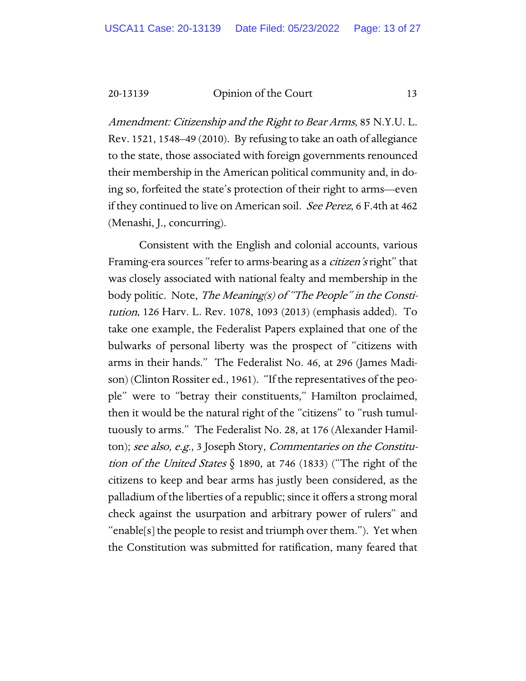Amendment: Citizenship and the Right to Bear Arms, 85 N.Y.U. L. Rev. 1521, 1548–49 (2010). By refusing to take an oath of allegiance to the state, those associated with foreign governments renounced their membership in the American political community and, in doing so, forfeited the state's protection of their right to arms—even if they continued to live on American soil. See Perez, 6 F.4th at 462 (Menashi, J., concurring).

Consistent with the English and colonial accounts, various Framing-era sources "refer to arms-bearing as a *citizen's* right" that was closely associated with national fealty and membership in the body politic. Note, The Meaning(s) of "The People" in the Constitution, 126 Harv. L. Rev. 1078, 1093 (2013) (emphasis added). To take one example, the Federalist Papers explained that one of the bulwarks of personal liberty was the prospect of "citizens with arms in their hands." The Federalist No. 46, at 296 (James Madison) (Clinton Rossiter ed., 1961). "If the representatives of the people" were to "betray their constituents," Hamilton proclaimed, then it would be the natural right of the "citizens" to "rush tumultuously to arms." The Federalist No. 28, at 176 (Alexander Hamilton); see also, e.g., 3 Joseph Story, Commentaries on the Constitution of the United States  $\S$  1890, at 746 (1833) ("The right of the citizens to keep and bear arms has justly been considered, as the palladium of the liberties of a republic; since it offers a strong moral check against the usurpation and arbitrary power of rulers" and "enable[s] the people to resist and triumph over them."). Yet when the Constitution was submitted for ratification, many feared that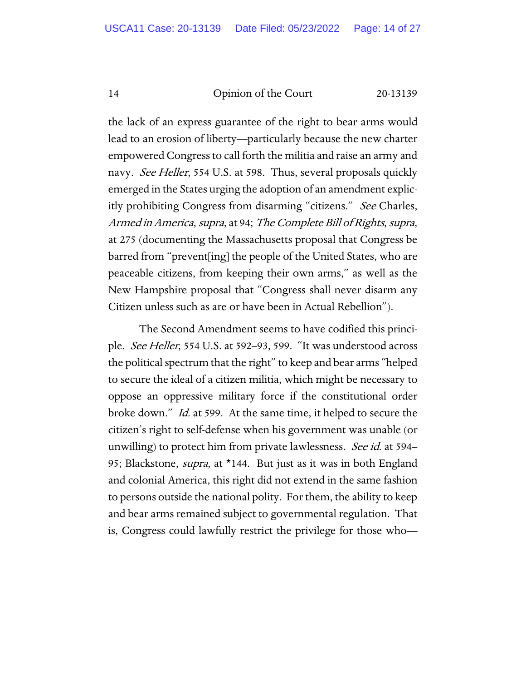the lack of an express guarantee of the right to bear arms would lead to an erosion of liberty—particularly because the new charter empowered Congress to call forth the militia and raise an army and navy. See Heller, 554 U.S. at 598. Thus, several proposals quickly emerged in the States urging the adoption of an amendment explicitly prohibiting Congress from disarming "citizens." See Charles, Armed in America, supra, at 94; The Complete Bill of Rights, supra, at 275 (documenting the Massachusetts proposal that Congress be barred from "prevent[ing] the people of the United States, who are peaceable citizens, from keeping their own arms," as well as the New Hampshire proposal that "Congress shall never disarm any Citizen unless such as are or have been in Actual Rebellion").

The Second Amendment seems to have codified this principle. See Heller, 554 U.S. at 592–93, 599. "It was understood across the political spectrum that the right" to keep and bear arms "helped to secure the ideal of a citizen militia, which might be necessary to oppose an oppressive military force if the constitutional order broke down." Id. at 599. At the same time, it helped to secure the citizen's right to self-defense when his government was unable (or unwilling) to protect him from private lawlessness. *See id.* at 594– 95; Blackstone, *supra*, at \*144. But just as it was in both England and colonial America, this right did not extend in the same fashion to persons outside the national polity. For them, the ability to keep and bear arms remained subject to governmental regulation. That is, Congress could lawfully restrict the privilege for those who—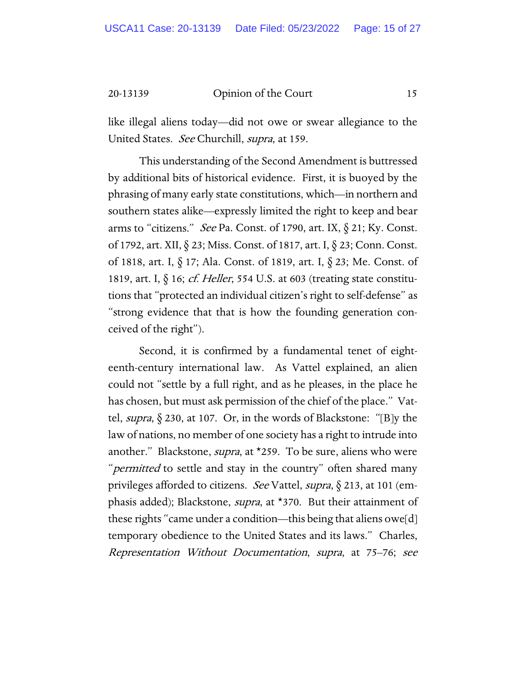like illegal aliens today—did not owe or swear allegiance to the United States. See Churchill, supra, at 159.

This understanding of the Second Amendment is buttressed by additional bits of historical evidence. First, it is buoyed by the phrasing of many early state constitutions, which—in northern and southern states alike—expressly limited the right to keep and bear arms to "citizens." See Pa. Const. of 1790, art. IX,  $\S$  21; Ky. Const. of 1792, art. XII, § 23; Miss. Const. of 1817, art. I, § 23; Conn. Const. of 1818, art. I, § 17; Ala. Const. of 1819, art. I, § 23; Me. Const. of 1819, art. I,  $\S$  16; cf. Heller, 554 U.S. at 603 (treating state constitutions that "protected an individual citizen's right to self-defense" as "strong evidence that that is how the founding generation conceived of the right").

Second, it is confirmed by a fundamental tenet of eighteenth-century international law. As Vattel explained, an alien could not "settle by a full right, and as he pleases, in the place he has chosen, but must ask permission of the chief of the place." Vattel, *supra*,  $\S$  230, at 107. Or, in the words of Blackstone: "[B]y the law of nations, no member of one society has a right to intrude into another." Blackstone, *supra*, at \*259. To be sure, aliens who were "*permitted* to settle and stay in the country" often shared many privileges afforded to citizens. See Vattel, supra,  $\S$  213, at 101 (emphasis added); Blackstone, *supra*, at \*370. But their attainment of these rights "came under a condition—this being that aliens owe[d] temporary obedience to the United States and its laws." Charles, Representation Without Documentation, supra, at 75–76; see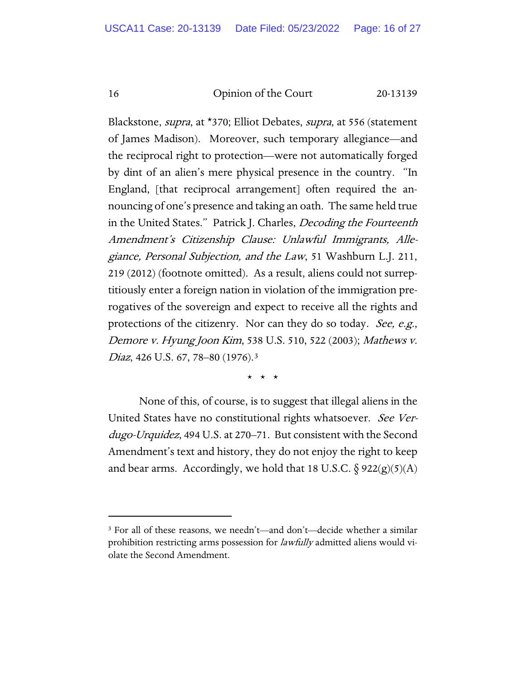Blackstone, *supra*, at \*370; Elliot Debates, *supra*, at 556 (statement of James Madison). Moreover, such temporary allegiance—and the reciprocal right to protection—were not automatically forged by dint of an alien's mere physical presence in the country. "In England, [that reciprocal arrangement] often required the announcing of one's presence and taking an oath. The same held true in the United States." Patrick J. Charles, Decoding the Fourteenth Amendment's Citizenship Clause: Unlawful Immigrants, Allegiance, Personal Subjection, and the Law, 51 Washburn L.J. 211, 219 (2012) (footnote omitted). As a result, aliens could not surreptitiously enter a foreign nation in violation of the immigration prerogatives of the sovereign and expect to receive all the rights and protections of the citizenry. Nor can they do so today. See, e.g., Demore v. Hyung Joon Kim, 538 U.S. 510, 522 (2003); Mathews v. Diaz, 426 U.S. 67, 78–80 (1976).<sup>[3](#page-15-0)</sup>

\* \* \*

None of this, of course, is to suggest that illegal aliens in the United States have no constitutional rights whatsoever. See Verdugo-Urquidez, 494 U.S. at 270–71. But consistent with the Second Amendment's text and history, they do not enjoy the right to keep and bear arms. Accordingly, we hold that 18 U.S.C.  $\S$  922(g)(5)(A)

<span id="page-15-0"></span><sup>3</sup> For all of these reasons, we needn't—and don't—decide whether a similar prohibition restricting arms possession for *lawfully* admitted aliens would violate the Second Amendment.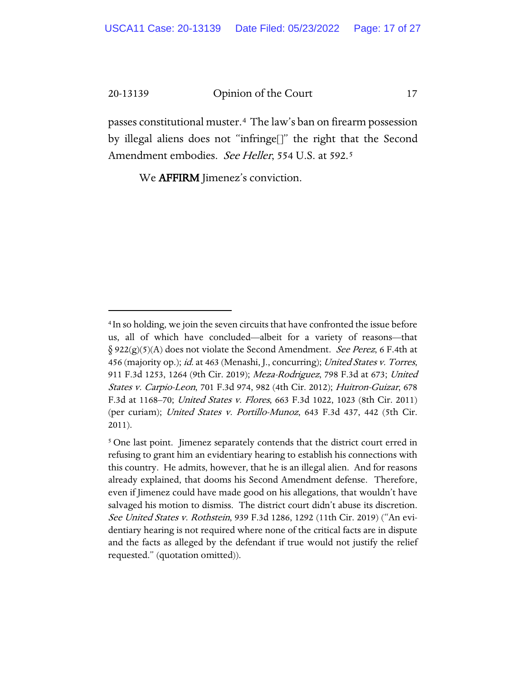passes constitutional muster.[4](#page-16-0) The law's ban on firearm possession by illegal aliens does not "infringe[]" the right that the Second Amendment embodies. See Heller, [5](#page-16-1)54 U.S. at 592.<sup>5</sup>

We AFFIRM Jimenez's conviction.

<span id="page-16-0"></span><sup>4</sup> In so holding, we join the seven circuits that have confronted the issue before us, all of which have concluded—albeit for a variety of reasons—that  $\S 922(g)(5)(A)$  does not violate the Second Amendment. See Perez, 6 F.4th at 456 (majority op.); id. at 463 (Menashi, J., concurring); United States v. Torres, 911 F.3d 1253, 1264 (9th Cir. 2019); Meza-Rodriguez, 798 F.3d at 673; United States v. Carpio-Leon, 701 F.3d 974, 982 (4th Cir. 2012); Huitron-Guizar, 678 F.3d at 1168-70; United States v. Flores, 663 F.3d 1022, 1023 (8th Cir. 2011) (per curiam); United States v. Portillo-Munoz, 643 F.3d 437, 442 (5th Cir. 2011).

<span id="page-16-1"></span><sup>&</sup>lt;sup>5</sup> One last point. Jimenez separately contends that the district court erred in refusing to grant him an evidentiary hearing to establish his connections with this country. He admits, however, that he is an illegal alien. And for reasons already explained, that dooms his Second Amendment defense. Therefore, even if Jimenez could have made good on his allegations, that wouldn't have salvaged his motion to dismiss. The district court didn't abuse its discretion. See United States v. Rothstein, 939 F.3d 1286, 1292 (11th Cir. 2019) ("An evidentiary hearing is not required where none of the critical facts are in dispute and the facts as alleged by the defendant if true would not justify the relief requested." (quotation omitted)).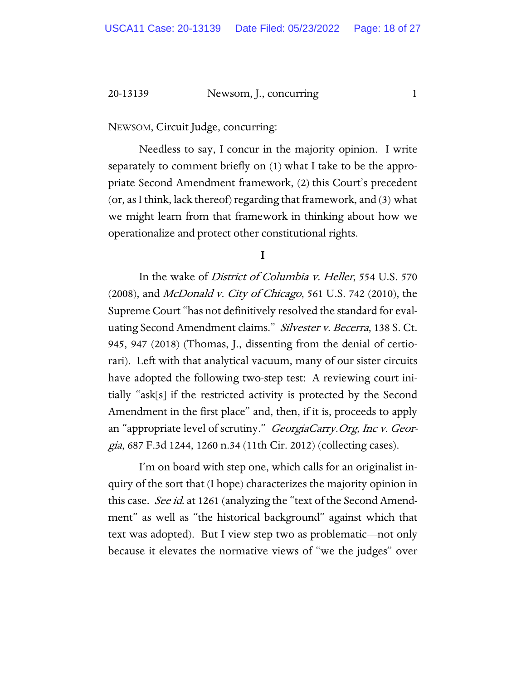#### 20-13139 Newsom, J., concurring 1

NEWSOM, Circuit Judge, concurring:

Needless to say, I concur in the majority opinion. I write separately to comment briefly on (1) what I take to be the appropriate Second Amendment framework, (2) this Court's precedent (or, as I think, lack thereof) regarding that framework, and (3) what we might learn from that framework in thinking about how we operationalize and protect other constitutional rights.

I

In the wake of District of Columbia v. Heller, 554 U.S. 570  $(2008)$ , and *McDonald v. City of Chicago*, 561 U.S. 742  $(2010)$ , the Supreme Court "has not definitively resolved the standard for evaluating Second Amendment claims." Silvester v. Becerra, 138 S. Ct. 945, 947 (2018) (Thomas, J., dissenting from the denial of certiorari). Left with that analytical vacuum, many of our sister circuits have adopted the following two-step test: A reviewing court initially "ask[s] if the restricted activity is protected by the Second Amendment in the first place" and, then, if it is, proceeds to apply an "appropriate level of scrutiny." *GeorgiaCarry.Org, Inc v. Geor*gia, 687 F.3d 1244, 1260 n.34 (11th Cir. 2012) (collecting cases).

I'm on board with step one, which calls for an originalist inquiry of the sort that (I hope) characterizes the majority opinion in this case. *See id.* at 1261 (analyzing the "text of the Second Amendment" as well as "the historical background" against which that text was adopted). But I view step two as problematic—not only because it elevates the normative views of "we the judges" over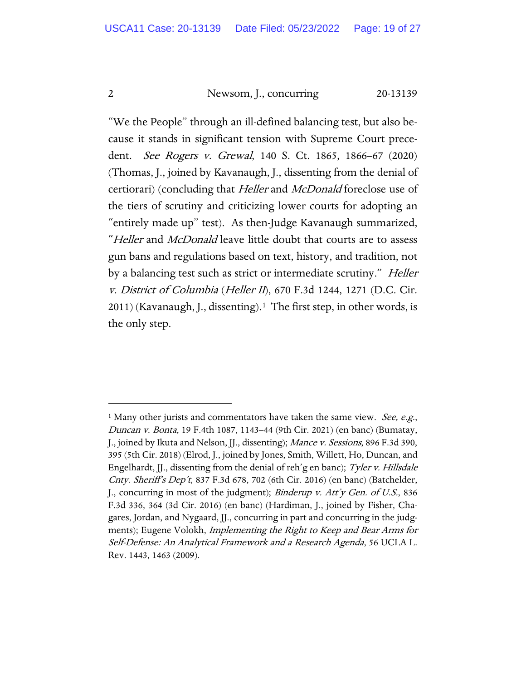# 2 Newsom, J., concurring 20-13139

"We the People" through an ill-defined balancing test, but also because it stands in significant tension with Supreme Court precedent. *See Rogers v. Grewal*, 140 S. Ct. 1865, 1866–67 (2020) (Thomas, J., joined by Kavanaugh, J., dissenting from the denial of certiorari) (concluding that Heller and McDonald foreclose use of the tiers of scrutiny and criticizing lower courts for adopting an "entirely made up" test). As then-Judge Kavanaugh summarized, "Heller and McDonald leave little doubt that courts are to assess gun bans and regulations based on text, history, and tradition, not by a balancing test such as strict or intermediate scrutiny." Heller v. District of Columbia (Heller II), 670 F.3d 1244, 1271 (D.C. Cir. 2011) (Kavanaugh, J., dissenting).[1](#page-18-0) The first step, in other words, is the only step.

<span id="page-18-0"></span><sup>&</sup>lt;sup>1</sup> Many other jurists and commentators have taken the same view. *See, e.g.*, Duncan v. Bonta, 19 F.4th 1087, 1143–44 (9th Cir. 2021) (en banc) (Bumatay, J., joined by Ikuta and Nelson, JJ., dissenting); *Mance v. Sessions*, 896 F.3d 390, 395 (5th Cir. 2018) (Elrod, J., joined by Jones, Smith, Willett, Ho, Duncan, and Engelhardt, JJ., dissenting from the denial of reh'g en banc); Tyler v. Hillsdale Cnty. Sheriff's Dep't, 837 F.3d 678, 702 (6th Cir. 2016) (en banc) (Batchelder, J., concurring in most of the judgment); *Binderup v. Att'y Gen. of U.S.*, 836 F.3d 336, 364 (3d Cir. 2016) (en banc) (Hardiman, J., joined by Fisher, Chagares, Jordan, and Nygaard, JJ., concurring in part and concurring in the judgments); Eugene Volokh, Implementing the Right to Keep and Bear Arms for Self-Defense: An Analytical Framework and a Research Agenda, 56 UCLA L. Rev. 1443, 1463 (2009).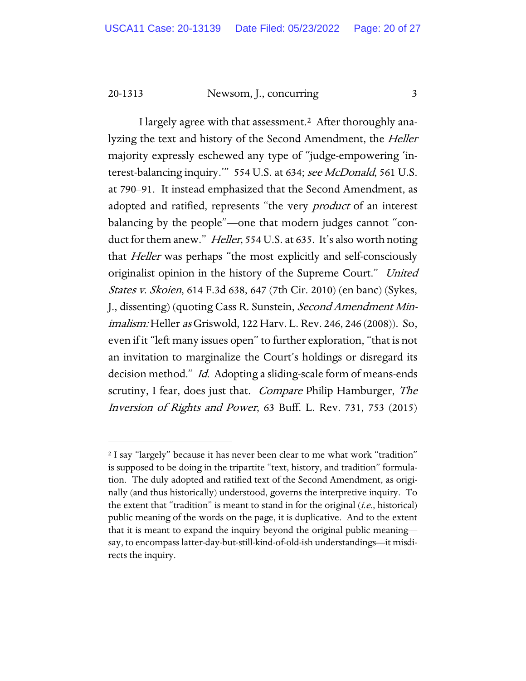20-1313 Newsom, J., concurring 3

I largely agree with that assessment.[2](#page-19-0) After thoroughly analyzing the text and history of the Second Amendment, the Heller majority expressly eschewed any type of "judge-empowering 'interest-balancing inquiry." 554 U.S. at 634; see McDonald, 561 U.S. at 790–91. It instead emphasized that the Second Amendment, as adopted and ratified, represents "the very *product* of an interest balancing by the people"—one that modern judges cannot "conduct for them anew." *Heller*, 554 U.S. at 635. It's also worth noting that Heller was perhaps "the most explicitly and self-consciously originalist opinion in the history of the Supreme Court." United States v. Skoien, 614 F.3d 638, 647 (7th Cir. 2010) (en banc) (Sykes, J., dissenting) (quoting Cass R. Sunstein, Second Amendment Minimalism: Heller as Griswold, 122 Harv. L. Rev. 246, 246 (2008)). So, even if it "left many issues open" to further exploration, "that is not an invitation to marginalize the Court's holdings or disregard its decision method." Id. Adopting a sliding-scale form of means-ends scrutiny, I fear, does just that. *Compare* Philip Hamburger, *The* Inversion of Rights and Power, 63 Buff. L. Rev. 731, 753 (2015)

<span id="page-19-0"></span><sup>2</sup> I say "largely" because it has never been clear to me what work "tradition" is supposed to be doing in the tripartite "text, history, and tradition" formulation. The duly adopted and ratified text of the Second Amendment, as originally (and thus historically) understood, governs the interpretive inquiry. To the extent that "tradition" is meant to stand in for the original  $(i.e.,$  historical) public meaning of the words on the page, it is duplicative. And to the extent that it is meant to expand the inquiry beyond the original public meaning say, to encompass latter-day-but-still-kind-of-old-ish understandings—it misdirects the inquiry.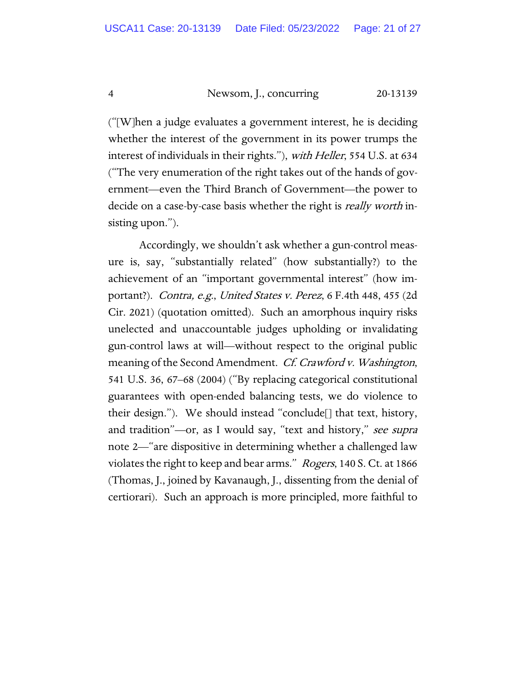4 Newsom, J., concurring 20-13139

("[W]hen a judge evaluates a government interest, he is deciding whether the interest of the government in its power trumps the interest of individuals in their rights."), with Heller, 554 U.S. at 634 ("The very enumeration of the right takes out of the hands of government—even the Third Branch of Government—the power to decide on a case-by-case basis whether the right is *really worth* insisting upon.").

Accordingly, we shouldn't ask whether a gun-control measure is, say, "substantially related" (how substantially?) to the achievement of an "important governmental interest" (how important?). Contra, e.g., United States v. Perez, 6 F.4th 448, 455 (2d Cir. 2021) (quotation omitted). Such an amorphous inquiry risks unelected and unaccountable judges upholding or invalidating gun-control laws at will—without respect to the original public meaning of the Second Amendment. Cf. Crawford v. Washington, 541 U.S. 36, 67–68 (2004) ("By replacing categorical constitutional guarantees with open-ended balancing tests, we do violence to their design."). We should instead "conclude[] that text, history, and tradition"—or, as I would say, "text and history," see supra note 2—"are dispositive in determining whether a challenged law violates the right to keep and bear arms." Rogers, 140 S. Ct. at 1866 (Thomas, J., joined by Kavanaugh, J., dissenting from the denial of certiorari). Such an approach is more principled, more faithful to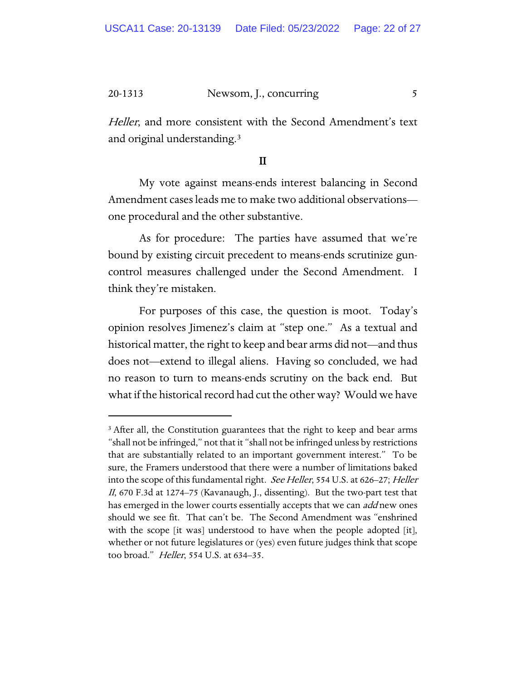#### 20-1313 Newsom, J., concurring 5

Heller, and more consistent with the Second Amendment's text and original understanding.[3](#page-21-0)

# II

My vote against means-ends interest balancing in Second Amendment cases leads me to make two additional observations one procedural and the other substantive.

As for procedure: The parties have assumed that we're bound by existing circuit precedent to means-ends scrutinize guncontrol measures challenged under the Second Amendment. I think they're mistaken.

For purposes of this case, the question is moot. Today's opinion resolves Jimenez's claim at "step one." As a textual and historical matter, the right to keep and bear arms did not—and thus does not—extend to illegal aliens. Having so concluded, we had no reason to turn to means-ends scrutiny on the back end. But what if the historical record had cut the other way? Would we have

<span id="page-21-0"></span><sup>&</sup>lt;sup>3</sup> After all, the Constitution guarantees that the right to keep and bear arms "shall not be infringed," not that it "shall not be infringed unless by restrictions that are substantially related to an important government interest." To be sure, the Framers understood that there were a number of limitations baked into the scope of this fundamental right. See Heller, 554 U.S. at 626–27; Heller II, 670 F.3d at 1274–75 (Kavanaugh, J., dissenting). But the two-part test that has emerged in the lower courts essentially accepts that we can add new ones should we see fit. That can't be. The Second Amendment was "enshrined with the scope [it was] understood to have when the people adopted [it], whether or not future legislatures or (yes) even future judges think that scope too broad." *Heller*, 554 U.S. at 634–35.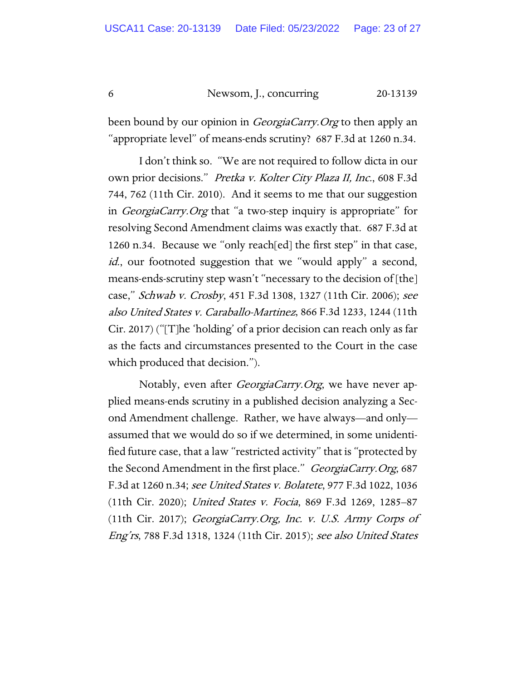6 Newsom, J., concurring 20-13139

been bound by our opinion in *GeorgiaCarry. Org* to then apply an "appropriate level" of means-ends scrutiny? 687 F.3d at 1260 n.34.

I don't think so. "We are not required to follow dicta in our own prior decisions." Pretka v. Kolter City Plaza II, Inc., 608 F.3d 744, 762 (11th Cir. 2010). And it seems to me that our suggestion in *GeorgiaCarry. Org* that "a two-step inquiry is appropriate" for resolving Second Amendment claims was exactly that. 687 F.3d at 1260 n.34. Because we "only reach[ed] the first step" in that case, id., our footnoted suggestion that we "would apply" a second, means-ends-scrutiny step wasn't "necessary to the decision of [the] case," Schwab v. Crosby, 451 F.3d 1308, 1327 (11th Cir. 2006); see also United States v. Caraballo-Martinez, 866 F.3d 1233, 1244 (11th Cir. 2017) ("[T]he 'holding' of a prior decision can reach only as far as the facts and circumstances presented to the Court in the case which produced that decision.").

Notably, even after *GeorgiaCarry.Org*, we have never applied means-ends scrutiny in a published decision analyzing a Second Amendment challenge. Rather, we have always—and only assumed that we would do so if we determined, in some unidentified future case, that a law "restricted activity" that is "protected by the Second Amendment in the first place." GeorgiaCarry. Org, 687 F.3d at 1260 n.34; see United States v. Bolatete, 977 F.3d 1022, 1036 (11th Cir. 2020); United States v. Focia, 869 F.3d 1269, 1285–87 (11th Cir. 2017); GeorgiaCarry.Org, Inc. v. U.S. Army Corps of Eng'rs, 788 F.3d 1318, 1324 (11th Cir. 2015); see also United States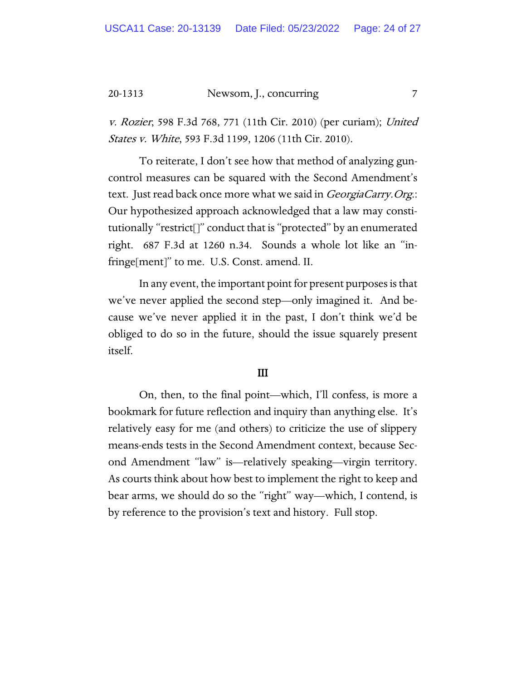#### 20-1313 Newsom, J., concurring 7

v. Rozier, 598 F.3d 768, 771 (11th Cir. 2010) (per curiam); United States v. White, 593 F.3d 1199, 1206 (11th Cir. 2010).

To reiterate, I don't see how that method of analyzing guncontrol measures can be squared with the Second Amendment's text. Just read back once more what we said in *GeorgiaCarry.Org*.: Our hypothesized approach acknowledged that a law may constitutionally "restrict[]" conduct that is "protected" by an enumerated right. 687 F.3d at 1260 n.34. Sounds a whole lot like an "infringe[ment]" to me. U.S. Const. amend. II.

In any event, the important point for present purposes is that we've never applied the second step—only imagined it. And because we've never applied it in the past, I don't think we'd be obliged to do so in the future, should the issue squarely present itself.

#### III

On, then, to the final point—which, I'll confess, is more a bookmark for future reflection and inquiry than anything else. It's relatively easy for me (and others) to criticize the use of slippery means-ends tests in the Second Amendment context, because Second Amendment "law" is—relatively speaking—virgin territory. As courts think about how best to implement the right to keep and bear arms, we should do so the "right" way—which, I contend, is by reference to the provision's text and history. Full stop.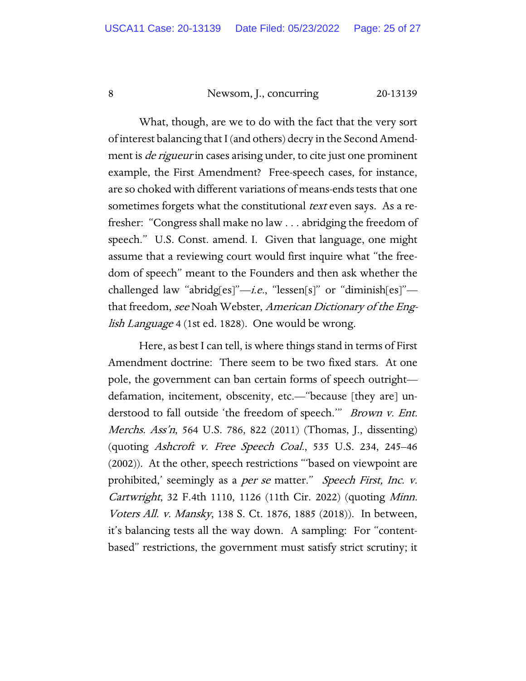# 8 Newsom, J., concurring 20-13139

What, though, are we to do with the fact that the very sort of interest balancing that I (and others) decry in the Second Amendment is *de rigueur* in cases arising under, to cite just one prominent example, the First Amendment? Free-speech cases, for instance, are so choked with different variations of means-ends tests that one sometimes forgets what the constitutional *text* even says. As a refresher: "Congress shall make no law . . . abridging the freedom of speech." U.S. Const. amend. I. Given that language, one might assume that a reviewing court would first inquire what "the freedom of speech" meant to the Founders and then ask whether the challenged law "abridg[es]"-i.e., "lessen[s]" or "diminish[es]"that freedom, see Noah Webster, American Dictionary of the English Language 4 (1st ed. 1828). One would be wrong.

Here, as best I can tell, is where things stand in terms of First Amendment doctrine: There seem to be two fixed stars. At one pole, the government can ban certain forms of speech outright defamation, incitement, obscenity, etc.—"because [they are] understood to fall outside 'the freedom of speech.'" Brown v. Ent. Merchs. Ass'n, 564 U.S. 786, 822 (2011) (Thomas, J., dissenting) (quoting Ashcroft v. Free Speech Coal., 535 U.S. 234, 245–46 (2002)). At the other, speech restrictions "'based on viewpoint are prohibited,' seemingly as a *per se* matter." Speech First, Inc. v. Cartwright, 32 F.4th 1110, 1126 (11th Cir. 2022) (quoting Minn. Voters All. v. Mansky, 138 S. Ct. 1876, 1885 (2018)). In between, it's balancing tests all the way down. A sampling: For "contentbased" restrictions, the government must satisfy strict scrutiny; it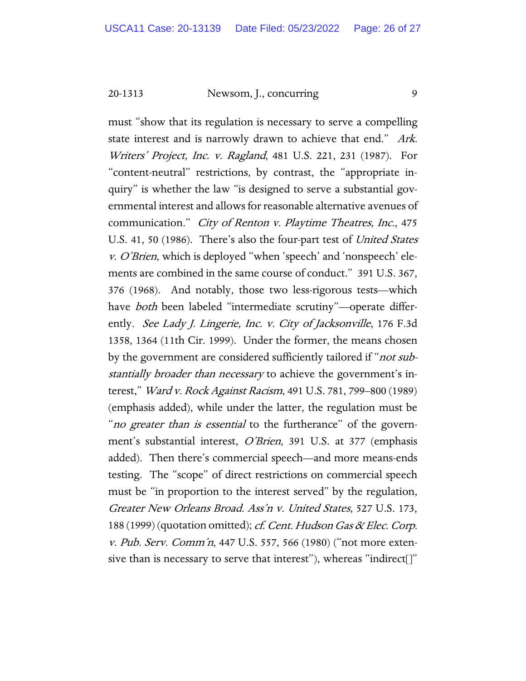20-1313 Newsom, J., concurring 9

must "show that its regulation is necessary to serve a compelling state interest and is narrowly drawn to achieve that end." Ark. Writers' Project, Inc. v. Ragland, 481 U.S. 221, 231 (1987). For "content-neutral" restrictions, by contrast, the "appropriate inquiry" is whether the law "is designed to serve a substantial governmental interest and allows for reasonable alternative avenues of communication." City of Renton v. Playtime Theatres, Inc., 475 U.S. 41, 50 (1986). There's also the four-part test of *United States* v. O'Brien, which is deployed "when 'speech' and 'nonspeech' elements are combined in the same course of conduct." 391 U.S. 367, 376 (1968). And notably, those two less-rigorous tests—which have *both* been labeled "intermediate scrutiny"—operate differently. See Lady J. Lingerie, Inc. v. City of Jacksonville, 176 F.3d 1358, 1364 (11th Cir. 1999). Under the former, the means chosen by the government are considered sufficiently tailored if "*not sub*stantially broader than necessary to achieve the government's interest," *Ward v. Rock Against Racism*, 491 U.S. 781, 799–800 (1989) (emphasis added), while under the latter, the regulation must be "*no greater than is essential* to the furtherance" of the government's substantial interest, O'Brien, 391 U.S. at 377 (emphasis added). Then there's commercial speech—and more means-ends testing. The "scope" of direct restrictions on commercial speech must be "in proportion to the interest served" by the regulation, Greater New Orleans Broad. Ass'n v. United States, 527 U.S. 173, 188 (1999) (quotation omitted); *cf. Cent. Hudson Gas & Elec. Corp.* v. Pub. Serv. Comm'n, 447 U.S. 557, 566 (1980) ("not more extensive than is necessary to serve that interest"), whereas "indirect[]"